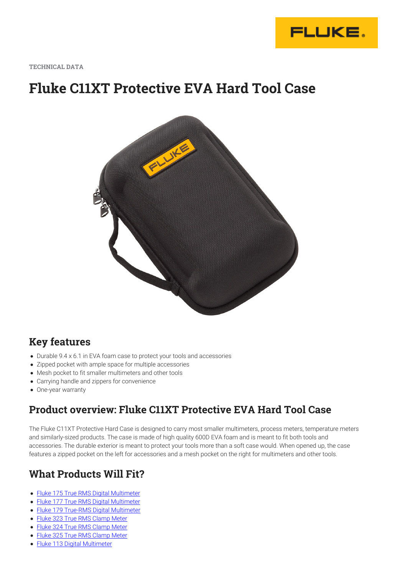

**TECHNICAL DATA**

# **Fluke C11XT Protective EVA Hard Tool Case**



#### **Key features**

- Durable 9.4 x 6.1 in EVA foam case to protect your tools and accessories
- Zipped pocket with ample space for multiple accessories
- Mesh pocket to fit smaller multimeters and other tools
- Carrying handle and zippers for convenience
- One-year warranty

#### **Product overview: Fluke C11XT Protective EVA Hard Tool Case**

The Fluke C11XT Protective Hard Case is designed to carry most smaller multimeters, process meters, temperature meters and similarly-sized products. The case is made of high quality 600D EVA foam and is meant to fit both tools and accessories. The durable exterior is meant to protect your tools more than a soft case would. When opened up, the case features a zipped pocket on the left for accessories and a mesh pocket on the right for multimeters and other tools.

#### **What Products Will Fit?**

- [Fluke 175 True RMS Digital Multimeter](https://www.fluke.com/en-us/product/electrical-testing/digital-multimeters/fluke-175)
- [Fluke 177 True RMS Digital Multimeter](https://www.fluke.com/en-us/product/electrical-testing/digital-multimeters/fluke-177)
- [Fluke 179 True-RMS Digital Multimeter](https://www.fluke.com/en-us/product/electrical-testing/digital-multimeters/fluke-179)
- [Fluke 323 True RMS Clamp Meter](https://www.fluke.com/en-us/product/electrical-testing/clamp-meters/fluke-323)
- [Fluke 324 True RMS Clamp Meter](https://www.fluke.com/en-us/product/electrical-testing/clamp-meters/fluke-324)
- [Fluke 325 True RMS Clamp Meter](https://www.fluke.com/en-us/product/electrical-testing/clamp-meters/fluke-325)
- [Fluke 113 Digital Multimeter](https://www.fluke.com/en-us/product/electrical-testing/digital-multimeters/fluke-113)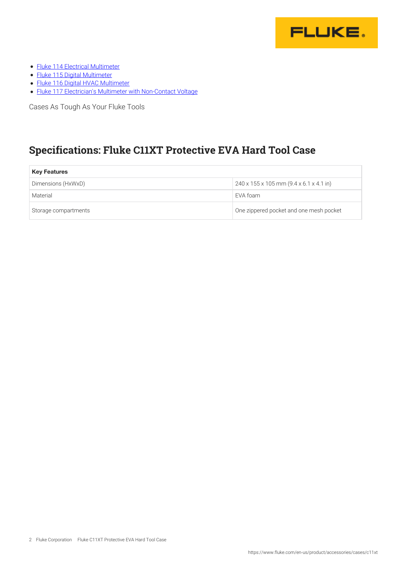

- [Fluke 114 Electrical Multimeter](https://www.fluke.com/en-us/product/electrical-testing/digital-multimeters/fluke-114)
- [Fluke 115 Digital Multimeter](https://www.fluke.com/en-us/product/electrical-testing/digital-multimeters/fluke-115)
- [Fluke 116 Digital HVAC Multimeter](https://www.fluke.com/en-us/product/electrical-testing/digital-multimeters/fluke-116)
- [Fluke 117 Electrician's Multimeter with Non-Contact Voltage](https://www.fluke.com/en-us/product/electrical-testing/digital-multimeters/fluke-117)

Cases As Tough As Your Fluke Tools

### **Specifications: Fluke C11XT Protective EVA Hard Tool Case**

| <b>Key Features</b>  |                                                                 |
|----------------------|-----------------------------------------------------------------|
| Dimensions (HxWxD)   | $240 \times 155 \times 105$ mm $(9.4 \times 6.1 \times 4.1$ in) |
| Material             | EVA foam                                                        |
| Storage compartments | One zippered pocket and one mesh pocket                         |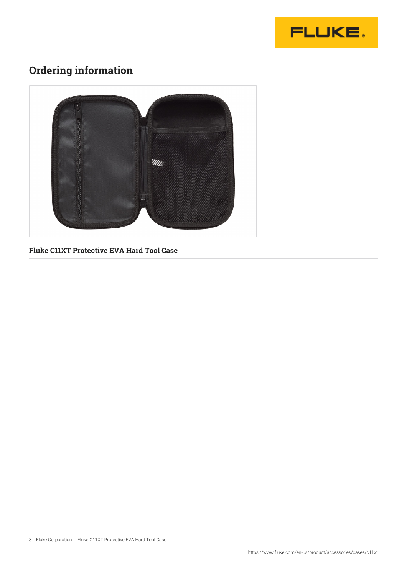

## **Ordering information**



**Fluke C11XT Protective EVA Hard Tool Case**